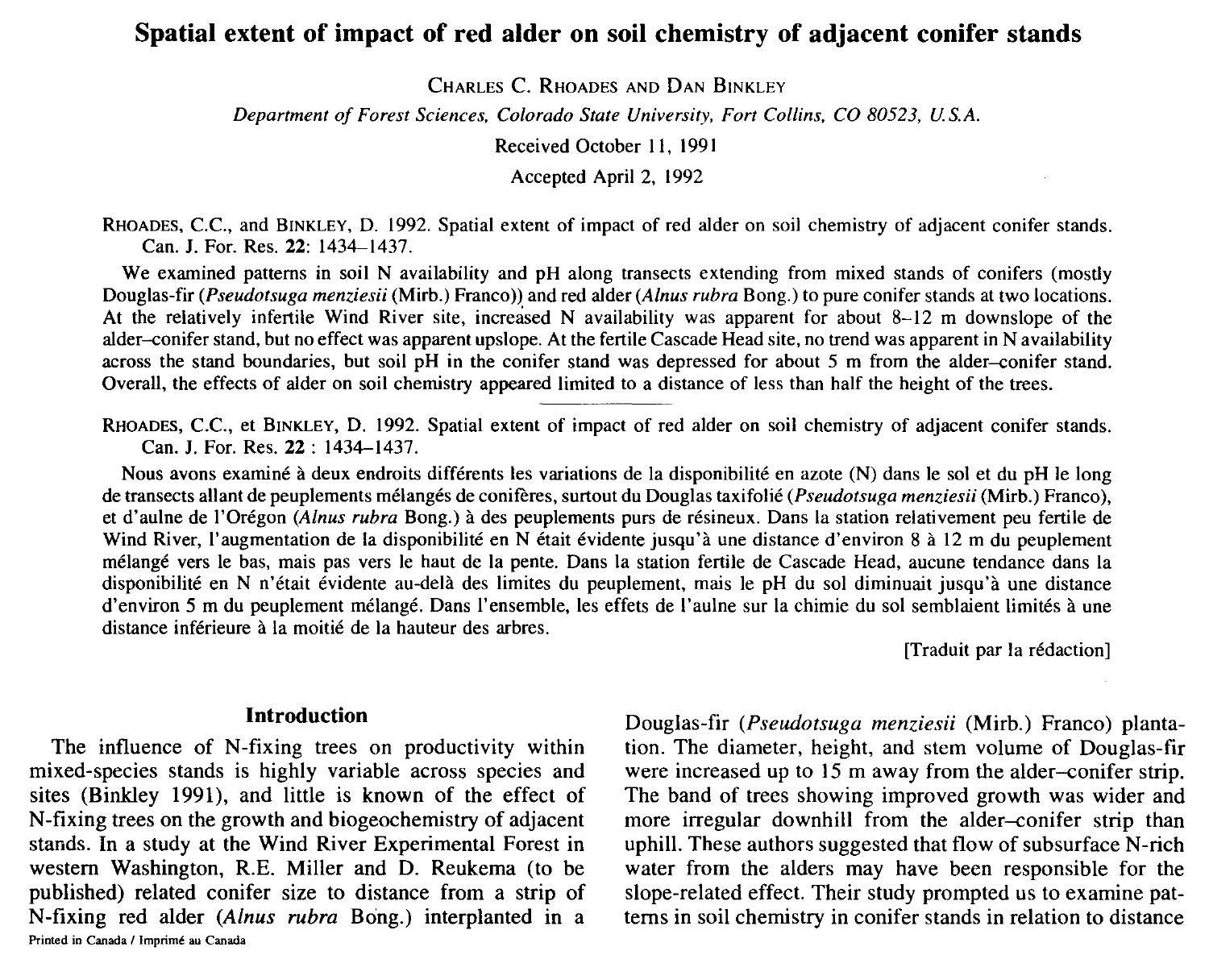# **Spatial extent of impact of red alder on soil chemistry of adjacent conifer stands**

CHARLES C. RHOADES AND DAN BINKLEY

*Department of Forest Sciences, Colorado State University, Fort Collins, CO 80523, US.A.* 

Received October 11, 1991

Accepted April 2, 1992

RHOADES, C.C., and BINKLEY, D. 1992. Spatial extent of impact of red alder on soil chemistry of adjacent conifer stands. Can. J. For. Res. 22: 1434-1437.

We examined patterns in soil N availability and pH along transects extending from mixed stands of conifers (mostly Douglas-fir *(Pseudotsuga menziesii* (Mirb.) Franco)) and red alder *(A/nus rubra* Bong.) to pure conifer stands at two locations. At the relatively infertile Wind River site, increased N availability was apparent for about 8-12 m downslope of the alder-conifer stand, but no effect was apparent upslope. At the fertile Cascade Head site, no trend was apparent in N availability across the stand boundaries, but soil pH in the conifer stand was depressed for about *5* m from the alder-conifer stand. Overall, the effects of alder on soil chemistry appeared limited to a distance of less than half the height of the trees.

RHOADES, C.C., et BINKLEY, D. 1992. Spatial extent of impact of red alder on soil chemistry of adjacent conifer stands. Can. J. For. Res. 22: 1434-1437.

Nous avons examiné à deux endroits différents les variations de la disponibilité en azote (N) dans le sol et du pH le long de transects allant de peuplements melanges de conireres, surtout du Douglas taxifolie *(Pseudotsuga menziesii* (Mirb.) Franco), et d'aulne de !'Oregon *(A/nus rubra* Bong.) a des peuplements purs de resineux. Dans la station relativement peu fertile de Wind River, l'augmentation de la disponibilité en N était évidente jusqu'à une distance d'environ 8 à 12 m du peuplement melange vers le bas, mais pas vers le haut de la pente. Dans la station fertile de Cascade Head, aucune tendance dans la disponibilité en N n'était évidente au-delà des limites du peuplement, mais le pH du sol diminuait jusqu'à une distance d'environ 5 m du peuplement mélangé. Dans l'ensemble, les effets de l'aulne sur la chimie du sol semblaient limités à une distance inférieure à la moitié de la hauteur des arbres.

[Traduit par la rédaction]

#### **Introduction**

The influence of N-fixing trees on productivity within mixed-species stands is highly variable across species and sites (Binkley 1991), and little is known of the effect of N-fixing trees on the growth and biogeochemistry of adjacent stands. In a study at the Wind River Experimental Forest in western Washington, R.E. Miller and D. Reukema (to be published) related conifer size to distance from a strip of N-fixing red alder *(A/nus rubra* Bong.) interplanted in a **Printed in Canada / Imprimé au Canada** 

Douglas-fir *(Pseudotsuga menziesii* (Mirb.) Franco) plantation. The diameter, height, and stem volume of Douglas-fir were increased up to 15 m away from the alder-conifer strip. The band of trees showing improved growth was wider and more irregular downhill from the alder-conifer strip than uphill. These authors suggested that flow of subsurface N-rich water from the alders may have been responsible for the slope-related effect. Their study prompted us to examine patterns in soil chemistry in conifer stands in relation to distance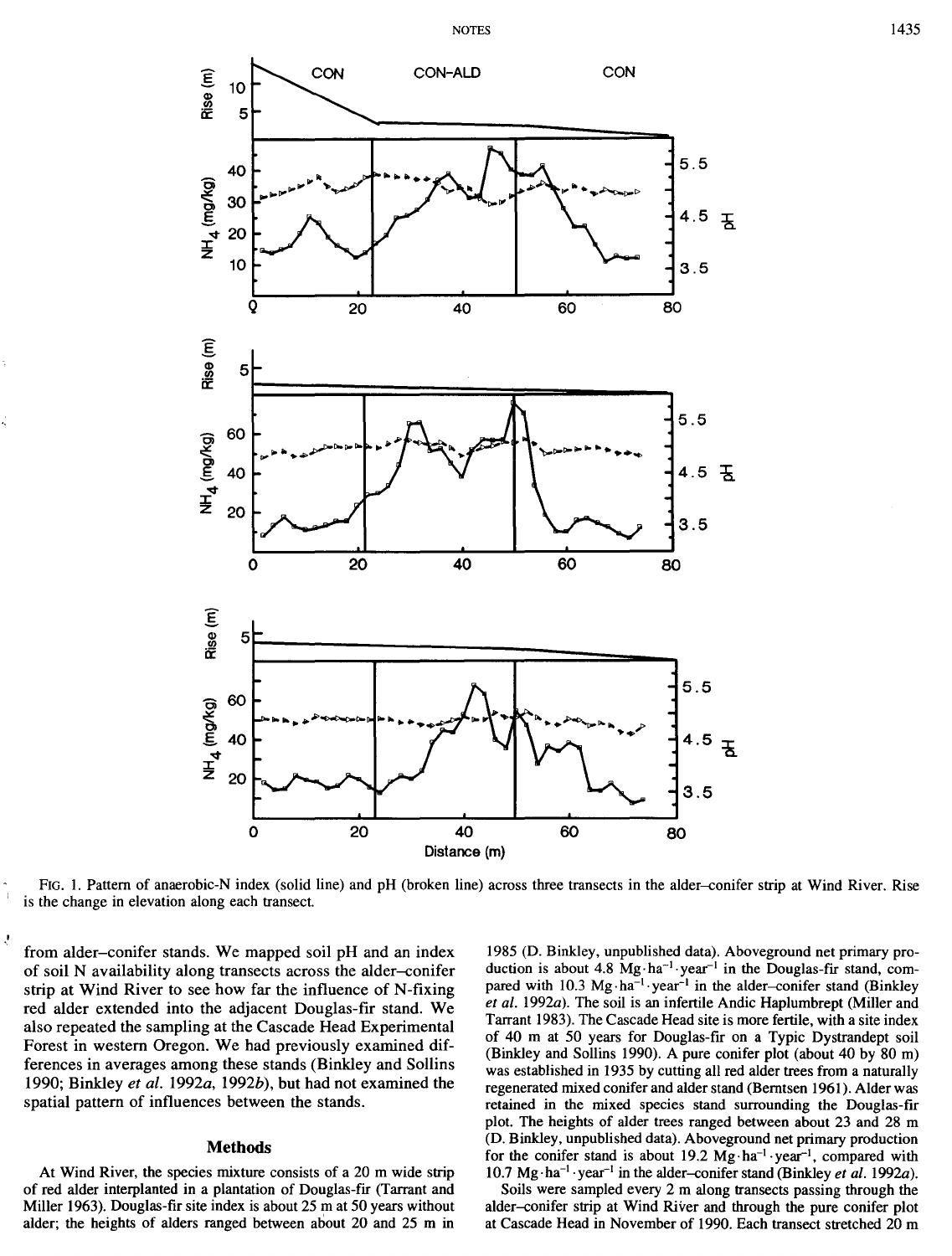

FIG. 1. Pattern of anaerobic-N index (solid line) and pH (broken line) across three transects in the alder-conifer strip at Wind River. Rise is the change in elevation along each transect.

from alder-conifer stands. We mapped soil pH and an index of soil N availability along transects across the alder-conifer strip at Wind River to see how far the influence of N-fixing red alder extended into the adjacent Douglas-fir stand. We also repeated the sampling at the Cascade Head Experimental Forest in western Oregon. We had previously examined differences in averages among these stands (Binkley and Sollins 1990; Binkley *et al. 1992a,* 1992b), but had not examined the spatial pattern of influences between the stands.

## Methods

At Wind River, the species mixture consists of a 20 m wide strip of red alder interplanted in a plantation of Douglas-fir (Tarrant and Miller 1963). Douglas-fir site index is about 25 m at 50 years without alder; the heights of alders ranged between about 20 and 25 m in

1985 (D. Binkley, unpublished data). Aboveground net primary production is about 4.8 Mg·ha<sup>-1</sup>·year<sup>-1</sup> in the Douglas-fir stand, compared with 10.3 Mg·ha<sup>-1</sup> year<sup>-1</sup> in the alder-conifer stand (Binkley *et al.* 1992a). The soil is an infertile Andie Haplumbrept (Miller and Tarrant 1983). The Cascade Head site is more fertile, with a site index of 40 m at 50 years for Douglas-fir on a Typic Dystrandept soil (Binkley and Sollins 1990). A pure conifer plot (about 40 by 80 m) was established in 1935 by cutting all red alder trees from a naturally regenerated mixed conifer and alder stand (Berntsen 1961 ). Alder was retained in the mixed species stand surrounding the Douglas-fir plot. The heights of alder trees ranged between about 23 and 28 m (D. Binkley, unpublished data). Aboveground net primary production for the conifer stand is about 19.2  $Mg \cdot ha^{-1} \cdot year^{-1}$ , compared with 10.7 Mg·ha<sup>-1</sup>·year<sup>-1</sup> in the alder-conifer stand (Binkley *et al.* 1992a).

Soils were sampled every 2 m along transects passing through the alder-conifer strip at Wind River and through the pure conifer plot at Cascade Head in November of 1990. Each transect stretched 20 m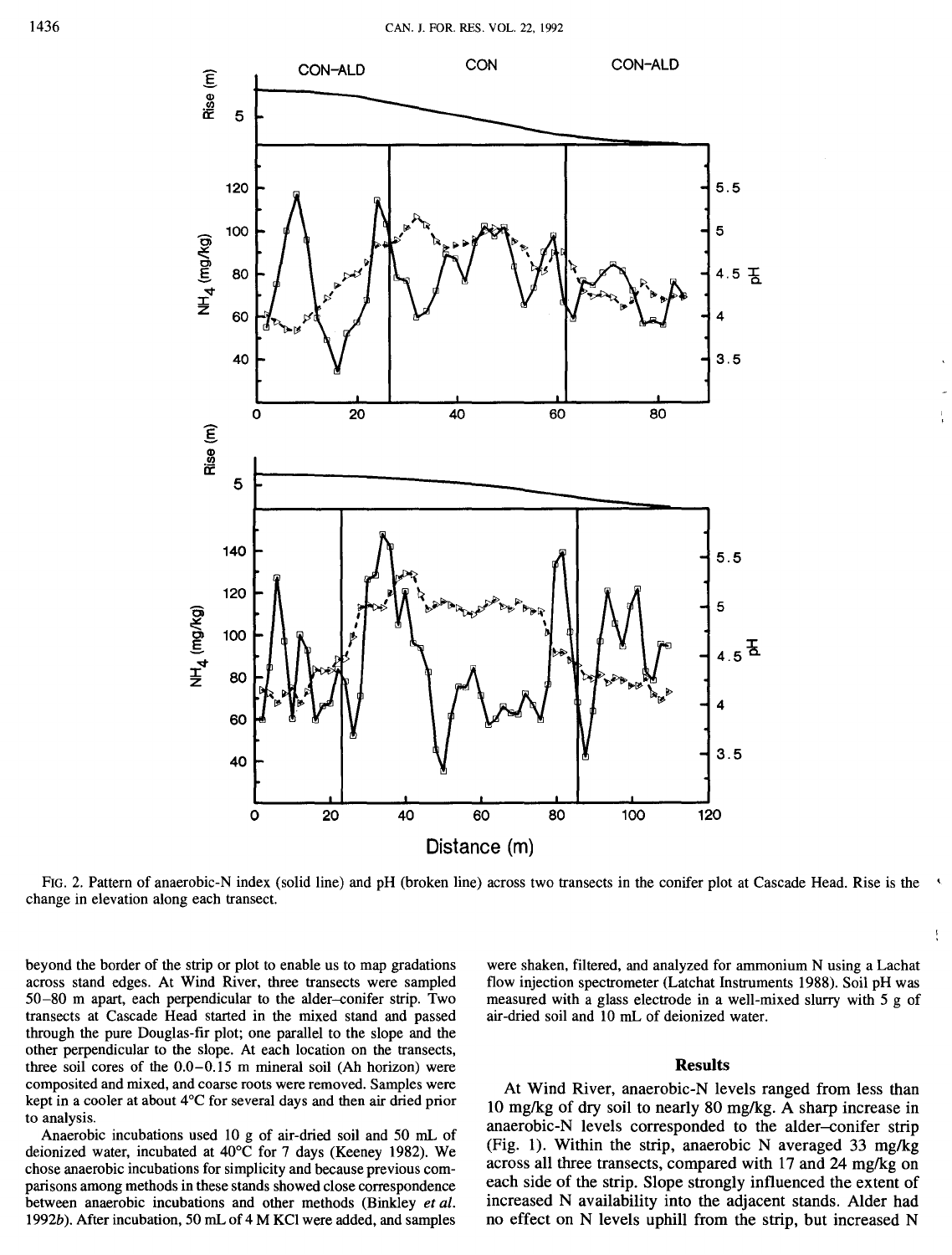

FIG. 2. Pattern of anaerobic-N index (solid line) and pH (broken line) across two transects in the conifer plot at Cascade Head. Rise is the change in elevation along each transect.

beyond the border of the strip or plot to enable us to map gradations across stand edges. At Wind River, three transects were sampled 50-80 m apart, each perpendicular to the alder-conifer strip. Two transects at Cascade Head started in the mixed stand and passed through the pure Douglas-fir plot; one parallel to the slope and the other perpendicular to the slope. At each location on the transects, three soil cores of the 0.0-0.15 m mineral soil (Ah horizon) were composited and mixed, and coarse roots were removed. Samples were kept in a cooler at about 4°C for several days and then air dried prior to analysis.

Anaerobic incubations used 10 g of air-dried soil and 50 mL of deionized water, incubated at 40°C for 7 days (Keeney 1982). We chose anaerobic incubations for simplicity and because previous comparisons among methods in these stands showed close correspondence between anaerobic incubations and other methods (Binkley *et al.*  1992b). After incubation, 50 mL of 4 M KCl were added, and samples

were shaken, filtered, and analyzed for ammonium N using a Lachat flow injection spectrometer (Latchat Instruments 1988). Soil pH was measured with a glass electrode in a well-mixed slurry with 5 g of air-dried soil and 10 mL of deionized water.

#### Results

At Wind River, anaerobic-N levels ranged from less than 10 mg/kg of dry soil to nearly 80 mg/kg. A sharp increase in anaerobic-N levels corresponded to the alder-conifer strip (Fig. 1). Within the strip, anaerobic N averaged 33 mg/kg across all three transects, compared with 17 and 24 mg/kg on each side of the strip. Slope strongly influenced the extent of increased N availability into the adjacent stands. Alder had no effect on N levels uphill from the strip, but increased N